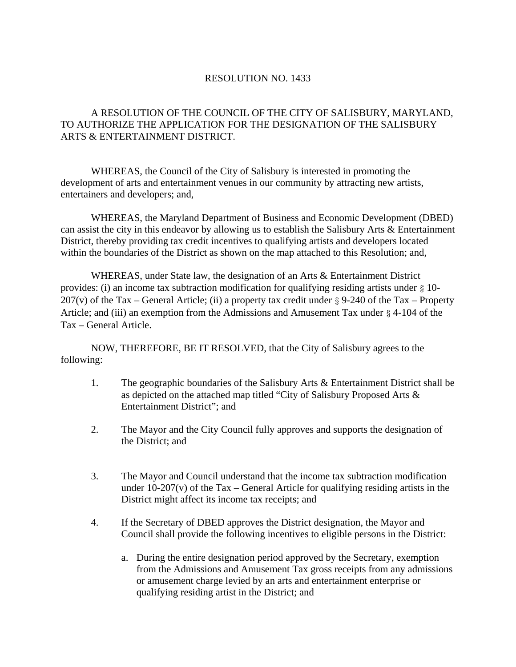## RESOLUTION NO. 1433

## A RESOLUTION OF THE COUNCIL OF THE CITY OF SALISBURY, MARYLAND, TO AUTHORIZE THE APPLICATION FOR THE DESIGNATION OF THE SALISBURY ARTS & ENTERTAINMENT DISTRICT.

 WHEREAS, the Council of the City of Salisbury is interested in promoting the development of arts and entertainment venues in our community by attracting new artists, entertainers and developers; and,

 WHEREAS, the Maryland Department of Business and Economic Development (DBED) can assist the city in this endeavor by allowing us to establish the Salisbury Arts & Entertainment District, thereby providing tax credit incentives to qualifying artists and developers located within the boundaries of the District as shown on the map attached to this Resolution; and,

 WHEREAS, under State law, the designation of an Arts & Entertainment District provides: (i) an income tax subtraction modification for qualifying residing artists under § 10-  $207(v)$  of the Tax – General Article; (ii) a property tax credit under § 9-240 of the Tax – Property Article; and (iii) an exemption from the Admissions and Amusement Tax under § 4-104 of the Tax – General Article.

 NOW, THEREFORE, BE IT RESOLVED, that the City of Salisbury agrees to the following:

- 1. The geographic boundaries of the Salisbury Arts & Entertainment District shall be as depicted on the attached map titled "City of Salisbury Proposed Arts & Entertainment District"; and
- 2. The Mayor and the City Council fully approves and supports the designation of the District; and
- 3. The Mayor and Council understand that the income tax subtraction modification under 10-207(v) of the Tax – General Article for qualifying residing artists in the District might affect its income tax receipts; and
- 4. If the Secretary of DBED approves the District designation, the Mayor and Council shall provide the following incentives to eligible persons in the District:
	- a. During the entire designation period approved by the Secretary, exemption from the Admissions and Amusement Tax gross receipts from any admissions or amusement charge levied by an arts and entertainment enterprise or qualifying residing artist in the District; and